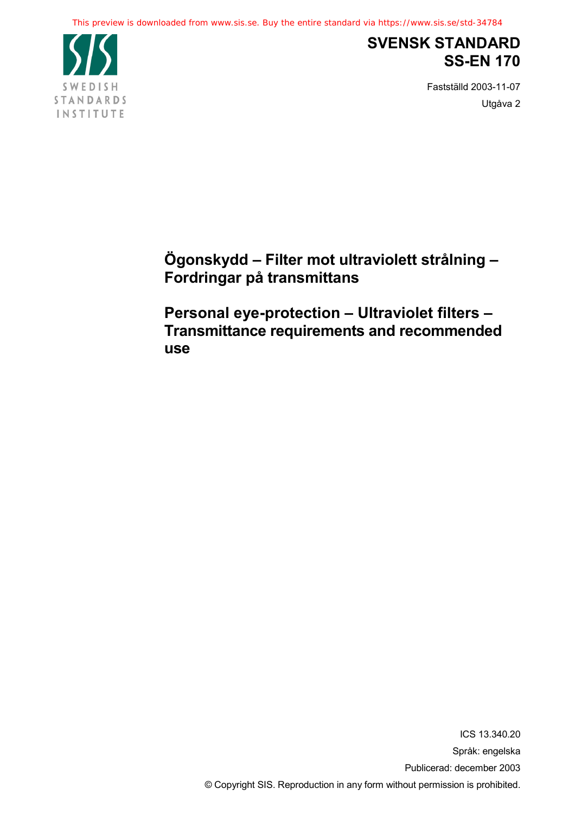This preview is downloaded from www.sis.se. Buy the entire standard via https://www.sis.se/std-34784



# **SVENSK STANDARD SS-EN 170**

Fastställd 2003-11-07 Utgåva 2

**Ögonskydd – Filter mot ultraviolett strålning – Fordringar på transmittans**

**Personal eye-protection – Ultraviolet filters – Transmittance requirements and recommended use**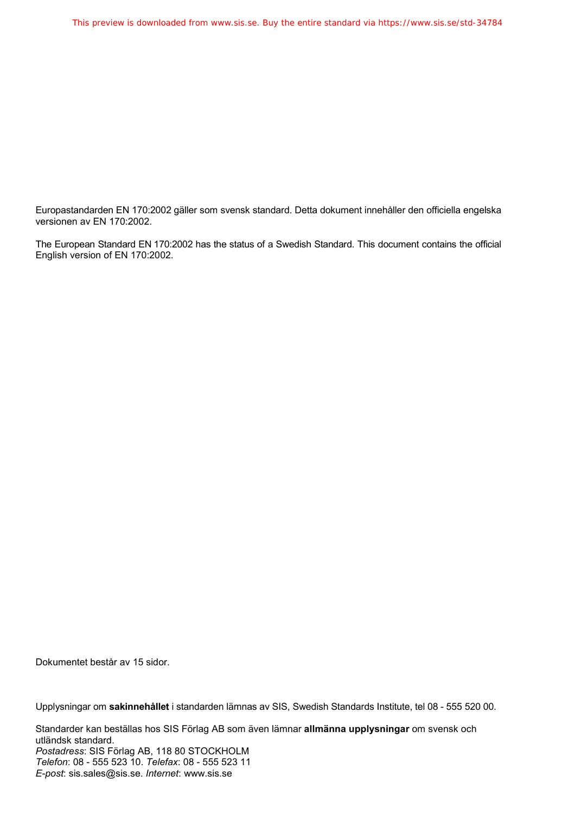Europastandarden EN 170:2002 gäller som svensk standard. Detta dokument innehåller den officiella engelska versionen av EN 170:2002.

The European Standard EN 170:2002 has the status of a Swedish Standard. This document contains the official English version of EN 170:2002.

Dokumentet består av 15 sidor.

Upplysningar om **sakinnehållet** i standarden lämnas av SIS, Swedish Standards Institute, tel 08 - 555 520 00.

Standarder kan beställas hos SIS Förlag AB som även lämnar **allmänna upplysningar** om svensk och utländsk standard. *Postadress*: SIS Förlag AB, 118 80 STOCKHOLM *Telefon*: 08 - 555 523 10. *Telefax*: 08 - 555 523 11 *E-post*: sis.sales@sis.se. *Internet*: www.sis.se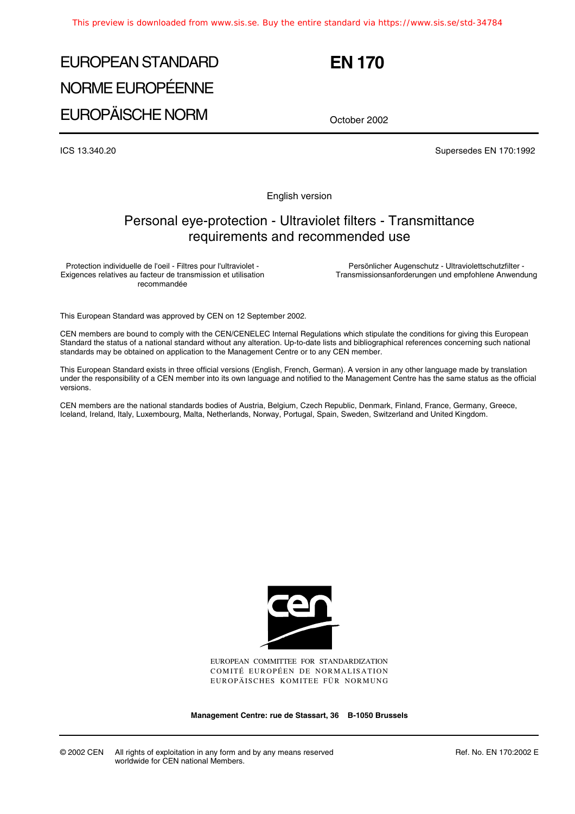# EUROPEAN STANDARD NORME EUROPÉENNE EUROPÄISCHE NORM

**EN 170**

October 2002

ICS 13.340.20 Supersedes EN 170:1992

English version

### Personal eye-protection - Ultraviolet filters - Transmittance requirements and recommended use

Protection individuelle de l'oeil - Filtres pour l'ultraviolet - Exigences relatives au facteur de transmission et utilisation recommandée

Persönlicher Augenschutz - Ultraviolettschutzfilter - Transmissionsanforderungen und empfohlene Anwendung

This European Standard was approved by CEN on 12 September 2002.

CEN members are bound to comply with the CEN/CENELEC Internal Regulations which stipulate the conditions for giving this European Standard the status of a national standard without any alteration. Up-to-date lists and bibliographical references concerning such national standards may be obtained on application to the Management Centre or to any CEN member.

This European Standard exists in three official versions (English, French, German). A version in any other language made by translation under the responsibility of a CEN member into its own language and notified to the Management Centre has the same status as the official versions.

CEN members are the national standards bodies of Austria, Belgium, Czech Republic, Denmark, Finland, France, Germany, Greece, Iceland, Ireland, Italy, Luxembourg, Malta, Netherlands, Norway, Portugal, Spain, Sweden, Switzerland and United Kingdom.



EUROPEAN COMMITTEE FOR STANDARDIZATION COMITÉ EUROPÉEN DE NORMALISATION EUROPÄISCHES KOMITEE FÜR NORMUNG

**Management Centre: rue de Stassart, 36 B-1050 Brussels**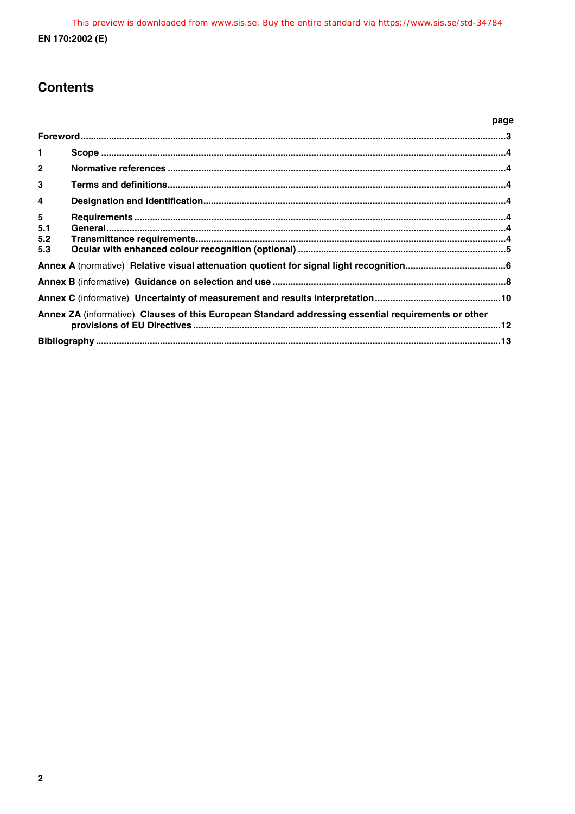## **Contents**

|                         |                                                                                                     | page |
|-------------------------|-----------------------------------------------------------------------------------------------------|------|
|                         |                                                                                                     |      |
| $\mathbf{1}$            |                                                                                                     |      |
| $\overline{2}$          |                                                                                                     |      |
| 3                       |                                                                                                     |      |
| $\overline{\mathbf{4}}$ |                                                                                                     |      |
| $5\phantom{.0}$         |                                                                                                     |      |
| 5.1<br>5.2              |                                                                                                     |      |
| 5.3                     |                                                                                                     |      |
|                         |                                                                                                     |      |
|                         |                                                                                                     |      |
|                         |                                                                                                     |      |
|                         | Annex ZA (informative) Clauses of this European Standard addressing essential requirements or other |      |
|                         |                                                                                                     |      |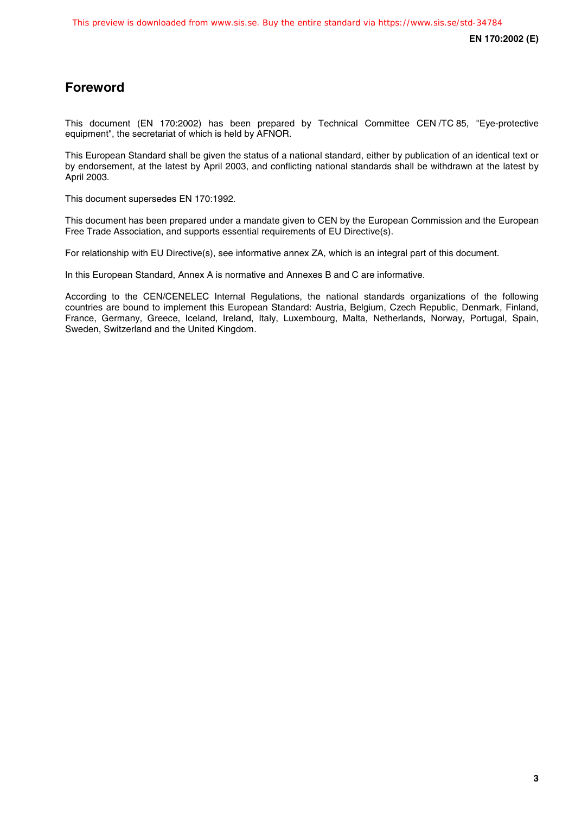### **Foreword**

This document (EN 170:2002) has been prepared by Technical Committee CEN /TC 85, "Eye-protective equipment", the secretariat of which is held by AFNOR.

This European Standard shall be given the status of a national standard, either by publication of an identical text or by endorsement, at the latest by April 2003, and conflicting national standards shall be withdrawn at the latest by April 2003.

This document supersedes EN 170:1992.

This document has been prepared under a mandate given to CEN by the European Commission and the European Free Trade Association, and supports essential requirements of EU Directive(s).

For relationship with EU Directive(s), see informative annex ZA, which is an integral part of this document.

In this European Standard, Annex A is normative and Annexes B and C are informative.

According to the CEN/CENELEC Internal Regulations, the national standards organizations of the following countries are bound to implement this European Standard: Austria, Belgium, Czech Republic, Denmark, Finland, France, Germany, Greece, Iceland, Ireland, Italy, Luxembourg, Malta, Netherlands, Norway, Portugal, Spain, Sweden, Switzerland and the United Kingdom.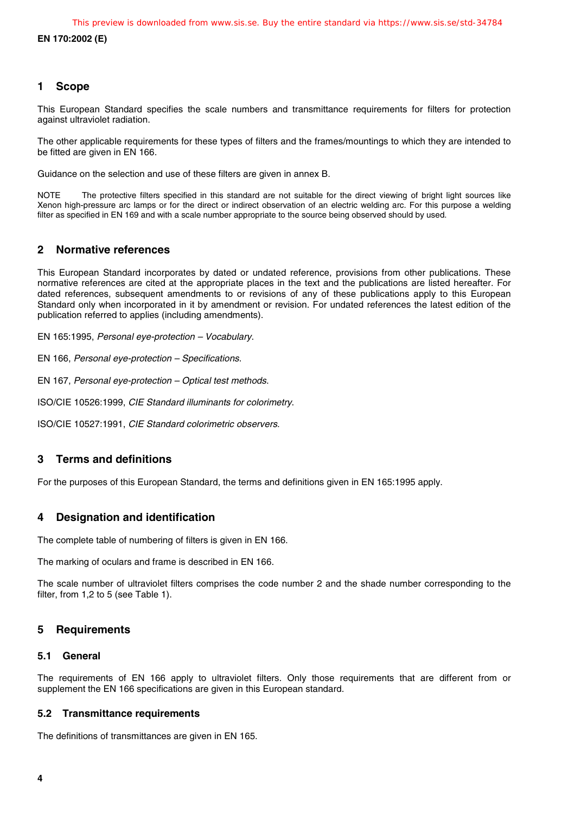**EN 170:2002 (E)**

#### **1 Scope**

This European Standard specifies the scale numbers and transmittance requirements for filters for protection against ultraviolet radiation.

The other applicable requirements for these types of filters and the frames/mountings to which they are intended to be fitted are given in EN 166.

Guidance on the selection and use of these filters are given in annex B.

NOTE The protective filters specified in this standard are not suitable for the direct viewing of bright light sources like Xenon high-pressure arc lamps or for the direct or indirect observation of an electric welding arc. For this purpose a welding filter as specified in EN 169 and with a scale number appropriate to the source being observed should by used.

#### **2 Normative references**

This European Standard incorporates by dated or undated reference, provisions from other publications. These normative references are cited at the appropriate places in the text and the publications are listed hereafter. For dated references, subsequent amendments to or revisions of any of these publications apply to this European Standard only when incorporated in it by amendment or revision. For undated references the latest edition of the publication referred to applies (including amendments).

EN 165:1995, Personal eye-protection – Vocabulary.

EN 166, Personal eye-protection – Specifications.

EN 167, Personal eye-protection – Optical test methods.

ISO/CIE 10526:1999, CIE Standard illuminants for colorimetry.

ISO/CIE 10527:1991, CIE Standard colorimetric observers.

#### **3 Terms and definitions**

For the purposes of this European Standard, the terms and definitions given in EN 165:1995 apply.

### **4 Designation and identification**

The complete table of numbering of filters is given in EN 166.

The marking of oculars and frame is described in EN 166.

The scale number of ultraviolet filters comprises the code number 2 and the shade number corresponding to the filter, from 1,2 to 5 (see Table 1).

#### **5 Requirements**

#### **5.1 General**

The requirements of EN 166 apply to ultraviolet filters. Only those requirements that are different from or supplement the EN 166 specifications are given in this European standard.

#### **5.2 Transmittance requirements**

The definitions of transmittances are given in EN 165.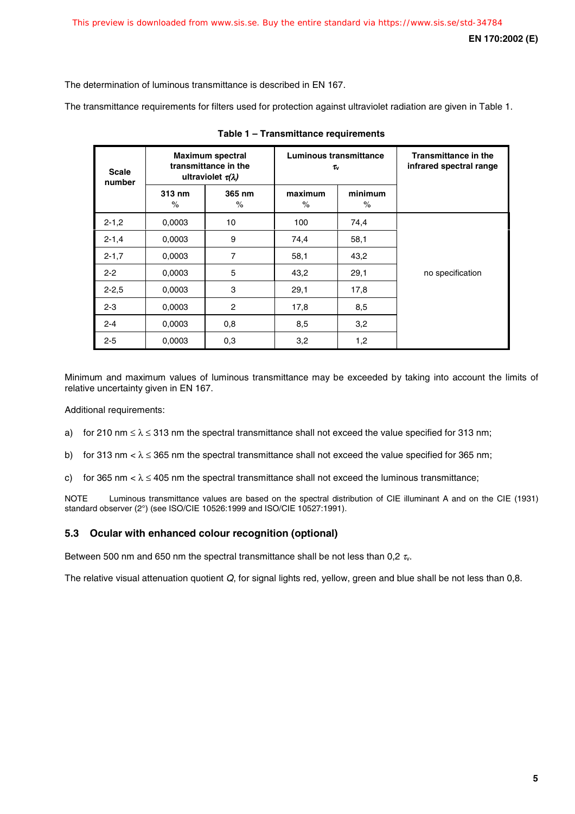The determination of luminous transmittance is described in EN 167.

The transmittance requirements for filters used for protection against ultraviolet radiation are given in Table 1.

| <b>Scale</b><br>number | <b>Maximum spectral</b><br>transmittance in the<br>ultraviolet $\tau(\lambda)$ |                | Luminous transmittance<br>Tv |                 | <b>Transmittance in the</b><br>infrared spectral range |
|------------------------|--------------------------------------------------------------------------------|----------------|------------------------------|-----------------|--------------------------------------------------------|
|                        | 313 nm<br>$\%$                                                                 | 365 nm<br>$\%$ | maximum<br>$\%$              | minimum<br>$\%$ |                                                        |
| $2 - 1,2$              | 0.0003                                                                         | 10             | 100                          | 74,4            |                                                        |
| $2 - 1,4$              | 0.0003                                                                         | 9              | 74,4                         | 58,1            |                                                        |
| $2 - 1, 7$             | 0.0003                                                                         | $\overline{7}$ | 58,1                         | 43,2            |                                                        |
| $2 - 2$                | 0.0003                                                                         | 5              | 43,2                         | 29,1            | no specification                                       |
| $2 - 2.5$              | 0.0003                                                                         | 3              | 29,1                         | 17,8            |                                                        |
| $2 - 3$                | 0.0003                                                                         | $\overline{2}$ | 17,8                         | 8,5             |                                                        |
| $2 - 4$                | 0,0003                                                                         | 0,8            | 8,5                          | 3,2             |                                                        |
| $2 - 5$                | 0.0003                                                                         | 0,3            | 3,2                          | 1,2             |                                                        |

**Table 1 – Transmittance requirements**

Minimum and maximum values of luminous transmittance may be exceeded by taking into account the limits of relative uncertainty given in EN 167.

Additional requirements:

- a) for 210 nm  $\leq \lambda \leq 313$  nm the spectral transmittance shall not exceed the value specified for 313 nm;
- b) for 313 nm  $\lt \lambda \leq 365$  nm the spectral transmittance shall not exceed the value specified for 365 nm;
- c) for 365 nm  $\langle \lambda \rangle \leq 405$  nm the spectral transmittance shall not exceed the luminous transmittance;

NOTE Luminous transmittance values are based on the spectral distribution of CIE illuminant A and on the CIE (1931) standard observer (2°) (see ISO/CIE 10526:1999 and ISO/CIE 10527:1991).

#### **5.3 Ocular with enhanced colour recognition (optional)**

Between 500 nm and 650 nm the spectral transmittance shall be not less than 0.2  $\tau_{\rm w}$ .

The relative visual attenuation quotient  $Q$ , for signal lights red, yellow, green and blue shall be not less than  $0,8$ .